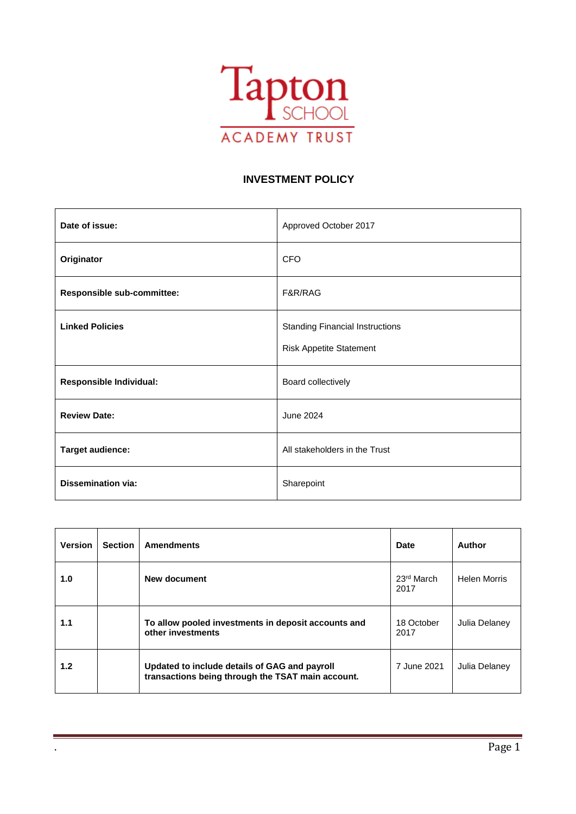

#### **INVESTMENT POLICY**

| Date of issue:                 | Approved October 2017                                                    |
|--------------------------------|--------------------------------------------------------------------------|
| Originator                     | <b>CFO</b>                                                               |
| Responsible sub-committee:     | F&R/RAG                                                                  |
| <b>Linked Policies</b>         | <b>Standing Financial Instructions</b><br><b>Risk Appetite Statement</b> |
| <b>Responsible Individual:</b> | Board collectively                                                       |
| <b>Review Date:</b>            | June 2024                                                                |
| Target audience:               | All stakeholders in the Trust                                            |
| <b>Dissemination via:</b>      | Sharepoint                                                               |

| <b>Version</b>   | <b>Section</b>                                                                                     | <b>Amendments</b>                                                        | Date               | Author              |
|------------------|----------------------------------------------------------------------------------------------------|--------------------------------------------------------------------------|--------------------|---------------------|
| 1.0              |                                                                                                    | New document                                                             | 23rd March<br>2017 | <b>Helen Morris</b> |
| 1.1              |                                                                                                    | To allow pooled investments in deposit accounts and<br>other investments | 18 October<br>2017 | Julia Delaney       |
| 1.2 <sub>2</sub> | Updated to include details of GAG and payroll<br>transactions being through the TSAT main account. |                                                                          | 7 June 2021        | Julia Delaney       |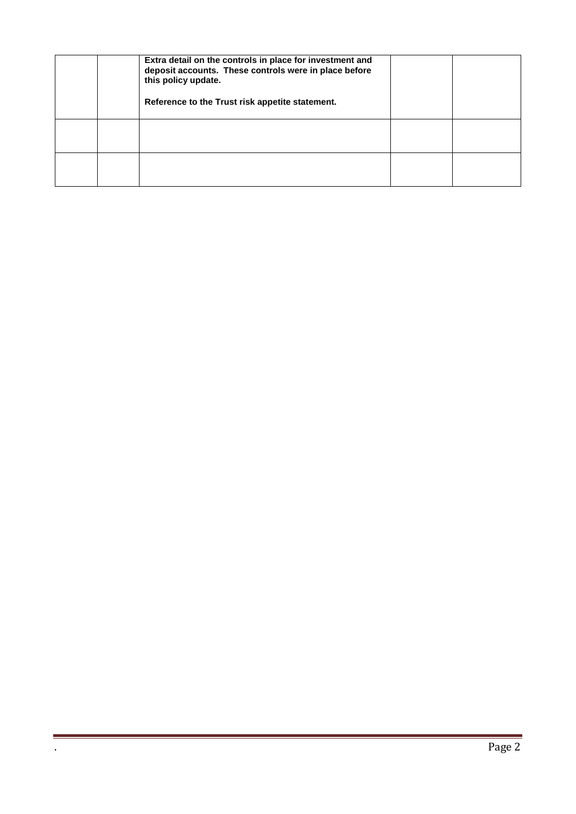|  | Extra detail on the controls in place for investment and<br>deposit accounts. These controls were in place before<br>this policy update.<br>Reference to the Trust risk appetite statement. |  |
|--|---------------------------------------------------------------------------------------------------------------------------------------------------------------------------------------------|--|
|  |                                                                                                                                                                                             |  |
|  |                                                                                                                                                                                             |  |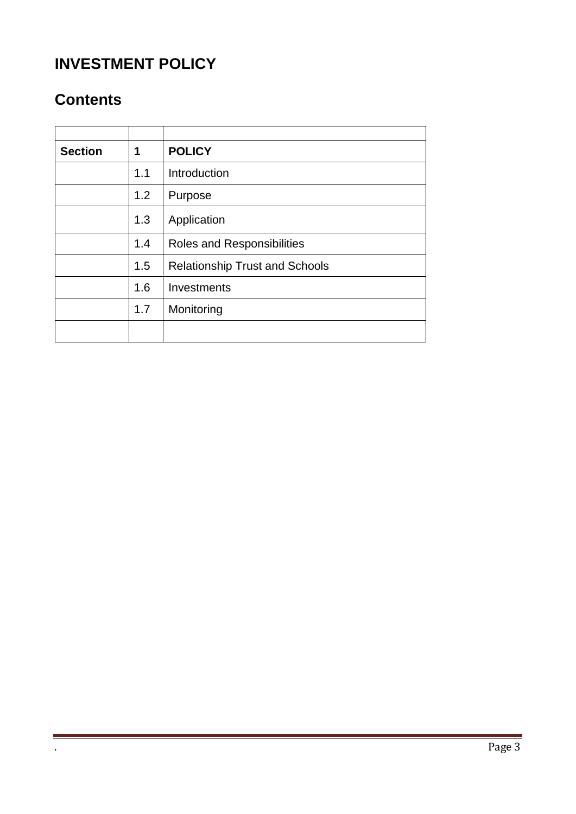# **INVESTMENT POLICY**

# **Contents**

| <b>Section</b> | 1   | <b>POLICY</b>                         |
|----------------|-----|---------------------------------------|
|                | 1.1 | Introduction                          |
|                | 1.2 | Purpose                               |
|                | 1.3 | Application                           |
|                | 1.4 | Roles and Responsibilities            |
|                | 1.5 | <b>Relationship Trust and Schools</b> |
|                | 1.6 | Investments                           |
|                | 1.7 | Monitoring                            |
|                |     |                                       |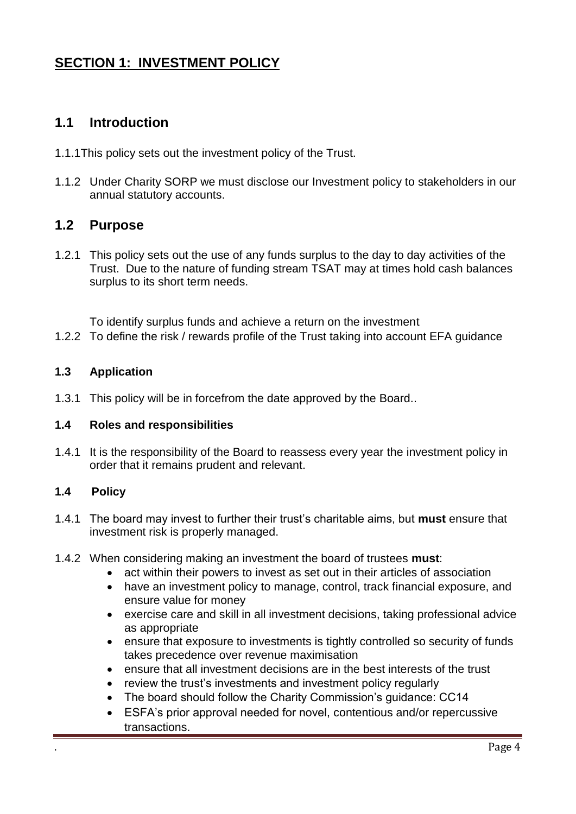## **SECTION 1: INVESTMENT POLICY**

## **1.1 Introduction**

- 1.1.1This policy sets out the investment policy of the Trust.
- 1.1.2 Under Charity SORP we must disclose our Investment policy to stakeholders in our annual statutory accounts.

## **1.2 Purpose**

1.2.1 This policy sets out the use of any funds surplus to the day to day activities of the Trust. Due to the nature of funding stream TSAT may at times hold cash balances surplus to its short term needs.

To identify surplus funds and achieve a return on the investment

1.2.2 To define the risk / rewards profile of the Trust taking into account EFA guidance

#### **1.3 Application**

1.3.1 This policy will be in forcefrom the date approved by the Board..

#### **1.4 Roles and responsibilities**

1.4.1 It is the responsibility of the Board to reassess every year the investment policy in order that it remains prudent and relevant.

#### **1.4 Policy**

- 1.4.1 The board may invest to further their trust's charitable aims, but **must** ensure that investment risk is properly managed.
- 1.4.2 When considering making an investment the board of trustees **must**:
	- act within their powers to invest as set out in their articles of association
	- have an investment policy to manage, control, track financial exposure, and ensure value for money
	- exercise care and skill in all investment decisions, taking professional advice as appropriate
	- ensure that exposure to investments is tightly controlled so security of funds takes precedence over revenue maximisation
	- ensure that all investment decisions are in the best interests of the trust
	- review the trust's investments and investment policy regularly
	- The board should follow the Charity Commission's guidance: CC14
	- ESFA's prior approval needed for novel, contentious and/or repercussive transactions.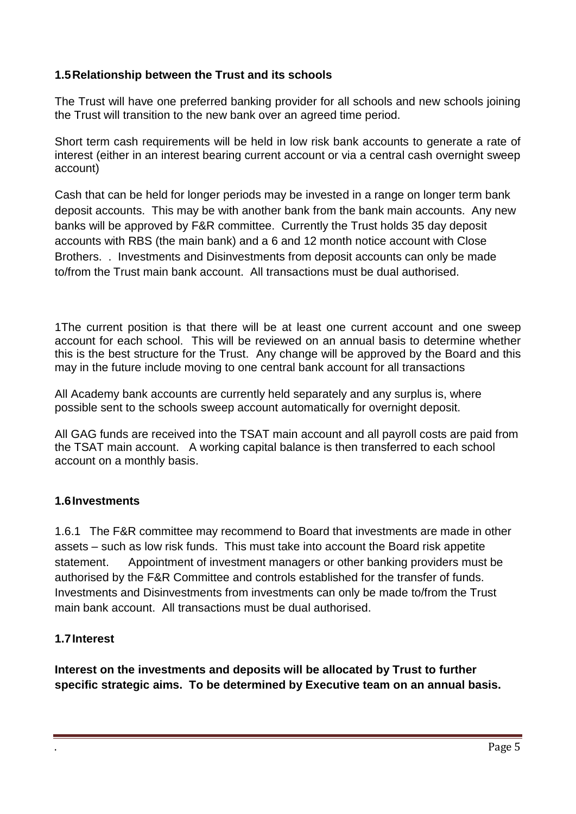## **1.5Relationship between the Trust and its schools**

The Trust will have one preferred banking provider for all schools and new schools joining the Trust will transition to the new bank over an agreed time period.

Short term cash requirements will be held in low risk bank accounts to generate a rate of interest (either in an interest bearing current account or via a central cash overnight sweep account)

Cash that can be held for longer periods may be invested in a range on longer term bank deposit accounts. This may be with another bank from the bank main accounts. Any new banks will be approved by F&R committee. Currently the Trust holds 35 day deposit accounts with RBS (the main bank) and a 6 and 12 month notice account with Close Brothers. . Investments and Disinvestments from deposit accounts can only be made to/from the Trust main bank account. All transactions must be dual authorised.

1The current position is that there will be at least one current account and one sweep account for each school. This will be reviewed on an annual basis to determine whether this is the best structure for the Trust. Any change will be approved by the Board and this may in the future include moving to one central bank account for all transactions

All Academy bank accounts are currently held separately and any surplus is, where possible sent to the schools sweep account automatically for overnight deposit.

All GAG funds are received into the TSAT main account and all payroll costs are paid from the TSAT main account. A working capital balance is then transferred to each school account on a monthly basis.

## **1.6Investments**

1.6.1 The F&R committee may recommend to Board that investments are made in other assets – such as low risk funds. This must take into account the Board risk appetite statement. Appointment of investment managers or other banking providers must be authorised by the F&R Committee and controls established for the transfer of funds. Investments and Disinvestments from investments can only be made to/from the Trust main bank account. All transactions must be dual authorised.

## **1.7Interest**

**Interest on the investments and deposits will be allocated by Trust to further specific strategic aims. To be determined by Executive team on an annual basis.**